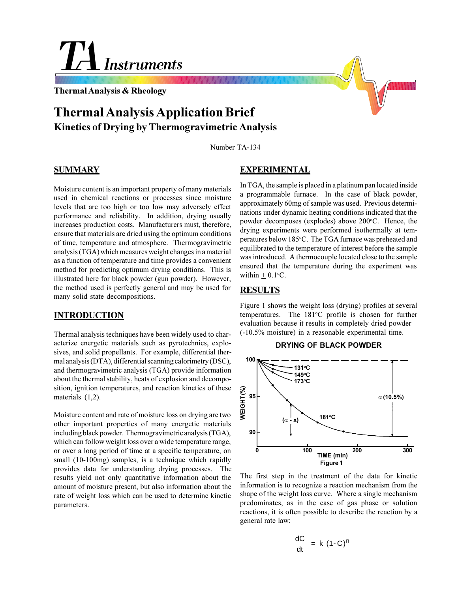# **Instruments**

**Thermal Analysis & Rheology**

## **Thermal Analysis Application Brief Kinetics of Drying by Thermogravimetric Analysis**

Number TA-134

## **SUMMARY**

Moisture content is an important property of many materials used in chemical reactions or processes since moisture levels that are too high or too low may adversely effect performance and reliability. In addition, drying usually increases production costs. Manufacturers must, therefore, ensure that materials are dried using the optimum conditions of time, temperature and atmosphere. Thermogravimetric analysis (TGA) which measures weight changes in a material as a function of temperature and time provides a convenient method for predicting optimum drying conditions. This is illustrated here for black powder (gun powder). However, the method used is perfectly general and may be used for many solid state decompositions.

## **INTRODUCTION**

Thermal analysis techniques have been widely used to characterize energetic materials such as pyrotechnics, explosives, and solid propellants. For example, differential thermal analysis (DTA), differential scanning calorimetry (DSC), and thermogravimetric analysis (TGA) provide information about the thermal stability, heats of explosion and decomposition, ignition temperatures, and reaction kinetics of these materials (1,2).

Moisture content and rate of moisture loss on drying are two other important properties of many energetic materials including black powder. Thermogravimetric analysis (TGA), which can follow weight loss over a wide temperature range, or over a long period of time at a specific temperature, on small (10-100mg) samples, is a technique which rapidly provides data for understanding drying processes. The results yield not only quantitative information about the amount of moisture present, but also information about the rate of weight loss which can be used to determine kinetic parameters.

## **EXPERIMENTAL**

In TGA, the sample is placed in a platinum pan located inside a programmable furnace. In the case of black powder, approximately 60mg of sample was used. Previous determinations under dynamic heating conditions indicated that the powder decomposes (explodes) above 200°C. Hence, the drying experiments were performed isothermally at temperatures below 185°C. The TGA furnace was preheated and equilibrated to the temperature of interest before the sample was introduced. A thermocouple located close to the sample ensured that the temperature during the experiment was within  $\pm$  0.1 °C.

## **RESULTS**

Figure 1 shows the weight loss (drying) profiles at several temperatures. The 181°C profile is chosen for further evaluation because it results in completely dried powder (-10.5% moisture) in a reasonable experimental time.





The first step in the treatment of the data for kinetic information is to recognize a reaction mechanism from the shape of the weight loss curve. Where a single mechanism predominates, as in the case of gas phase or solution reactions, it is often possible to describe the reaction by a general rate law:

$$
\frac{dC}{dt} = k (1-C)^n
$$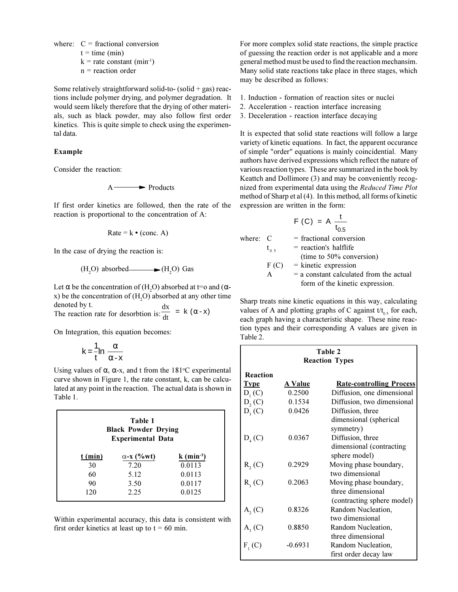where:  $C =$  fractional conversion

$$
t = time (min)
$$

- $k =$ rate constant (min<sup>-1</sup>)
- n = reaction order

Some relatively straightforward solid-to- (solid  $+$  gas) reactions include polymer drying, and polymer degradation. It would seem likely therefore that the drying of other materials, such as black powder, may also follow first order kinetics. This is quite simple to check using the experimental data.

## **Example**

Consider the reaction:

$$
A \longrightarrow
$$
 Products

If first order kinetics are followed, then the rate of the reaction is proportional to the concentration of A:

$$
Rate = k \cdot (conc. A)
$$

In the case of drying the reaction is:

$$
(H2O) absorbed \longrightarrow (H2O) Gas
$$

Let  $\alpha$  be the concentration of (H<sub>2</sub>O) absorbed at t=o and ( $\alpha$ x) be the concentration of  $(H_2O)$  absorbed at any other time denoted by t.  $\frac{dx}{dt}$  = k ( $\alpha$  - x)

The reaction rate for desorbtion is:

On Integration, this equation becomes:

$$
k = \frac{1}{t} ln \left( \frac{\alpha}{\alpha - x} \right)
$$

Using values of  $\alpha$ ,  $\alpha$ -x, and t from the 181°C experimental curve shown in Figure 1, the rate constant, k, can be calculated at any point in the reaction. The actual data is shown in Table 1.

| Table 1<br><b>Black Powder Drying</b><br><b>Experimental Data</b> |                   |                          |  |  |
|-------------------------------------------------------------------|-------------------|--------------------------|--|--|
| $t$ (min)                                                         | $\alpha$ -x (%wt) | $k$ (min <sup>-1</sup> ) |  |  |
| 30                                                                | 7.20              | 0.0113                   |  |  |
| 60                                                                | 5.12              | 0.0113                   |  |  |
| 90                                                                | 3.50              | 0.0117                   |  |  |
| 120                                                               | 2.25              | 0.0125                   |  |  |

Within experimental accuracy, this data is consistent with first order kinetics at least up to  $t = 60$  min.

For more complex solid state reactions, the simple practice of guessing the reaction order is not applicable and a more general method must be used to find the reaction mechansim. Many solid state reactions take place in three stages, which may be described as follows:

- 1. Induction formation of reaction sites or nuclei
- 2. Acceleration reaction interface increasing
- 3. Deceleration reaction interface decaying

It is expected that solid state reactions will follow a large variety of kinetic equations. In fact, the apparent occurance of simple "order" equations is mainly coincidential. Many authors have derived expressions which reflect the nature of various reaction types. These are summarized in the book by Keattch and Dollimore (3) and may be conveniently recognized from experimental data using the *Reduced Time Plot* method of Sharp et al (4). In this method, all forms of kinetic expression are written in the form:

$$
F(C) = A \frac{t}{t_{0.5}}
$$

| where: C |           | $=$ fractional conversion                 |
|----------|-----------|-------------------------------------------|
|          | $t_{0.5}$ | $=$ reaction's halflife                   |
|          |           | (time to 50% conversion)                  |
|          | F(C)      | $=$ kinetic expression                    |
|          | A         | $=$ a constant calculated from the actual |
|          |           | form of the kinetic expression.           |

Sharp treats nine kinetic equations in this way, calculating values of A and plotting graphs of C against  $t/t_{0.5}$  for each, each graph having a characteristic shape. These nine reaction types and their corresponding A values are given in Table 2.

| Table 2<br><b>Reaction Types</b> |           |                                            |  |
|----------------------------------|-----------|--------------------------------------------|--|
| Reaction                         |           |                                            |  |
| <b>Type</b>                      | A Value   | <b>Rate-controlling Process</b>            |  |
| $D_1(C)$                         | 0.2500    | Diffusion, one dimensional                 |  |
| D, (C)                           | 0.1534    | Diffusion, two dimensional                 |  |
| $D_{3}(C)$                       | 0.0426    | Diffusion, three                           |  |
|                                  |           | dimensional (spherical                     |  |
|                                  |           | symmetry)                                  |  |
| $D_4(C)$                         | 0.0367    | Diffusion, three                           |  |
|                                  |           | dimensional (contracting)<br>sphere model) |  |
| R, (C)                           | 0.2929    | Moving phase boundary,                     |  |
|                                  |           | two dimensional                            |  |
| $R3$ (C)                         | 0.2063    | Moving phase boundary,                     |  |
|                                  |           | three dimensional                          |  |
|                                  |           | (contracting sphere model)                 |  |
| $A_2(C)$                         | 0.8326    | Random Nucleation,                         |  |
|                                  |           | two dimensional                            |  |
| $A_3(C)$                         | 0.8850    | Random Nucleation,                         |  |
|                                  |           | three dimensional                          |  |
| $F_1(C)$                         | $-0.6931$ | Random Nucleation,                         |  |
|                                  |           | first order decay law                      |  |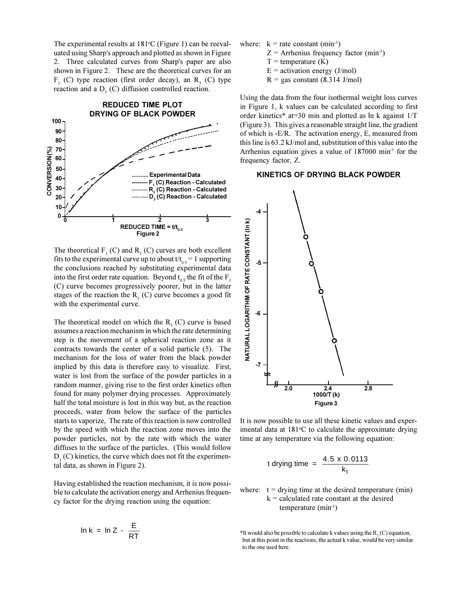The experimental results at 181°C (Figure 1) can be reevaluated using Sharp's approach and plotted as shown in Figure 2. Three calculated curves from Sharp's paper are also shown in Figure 2. These are the theoretical curves for an  $F_1$  (C) type reaction (first order decay), an R<sub>3</sub> (C) type reaction and a  $D<sub>3</sub>$  (C) diffusion controlled reaction.



The theoretical  $F_1(C)$  and  $R_3(C)$  curves are both excellent fits to the experimental curve up to about  $t/t_{0.5} = 1$  supporting the conclusions reached by substituting experimental data into the first order rate equation. Beyond  $t_{0.5}$  the fit of the F<sub>1</sub>. (C) curve becomes progressively poorer, but in the latter stages of the reaction the  $R<sub>3</sub>$  (C) curve becomes a good fit with the experimental curve.

The theoretical model on which the  $R<sub>3</sub>$  (C) curve is based assumes a reaction mechanism in which the rate determining step is the movement of a spherical reaction zone as it contracts towards the center of a solid particle (5). The mechanism for the loss of water from the black powder implied by this data is therefore easy to visualize. First, water is lost from the surface of the powder particles in a random manner, giving rise to the first order kinetics often found for many polymer drying processes. Approximately half the total moisture is lost in this way but, as the reaction proceeds, water from below the surface of the particles starts to vaporize, The rate of this reaction is now controlled by the speed with which the reaction zone moves into the powder particles, not by the rate with which the water diffuses to the surface of the particles. (This would follow  $D<sub>3</sub>$  (C) kinetics, the curve which does not fit the experimental data, as shown in Figure 2).

Having established the reaction mechanism, it is now possible to calculate the activation energy and Arrhenius frequency factor for the drying reaction using the equation:

$$
\ln k = \ln Z - \frac{E}{RT}
$$

- where:  $k =$  rate constant (min<sup>-1</sup>)
	- $Z =$  Arrhenius frequency factor (min<sup>-1</sup>)
	- $T =$  temperature  $(K)$
	- $E =$  activation energy (J/mol)
	- $R = gas constant (8.314 J/mol)$

Using the data from the four isothermal weight loss curves in Figure 1, k values can be calculated according to first order kinetics\* at=30 min and plotted as In k against 1/T (Figure 3). This gives a reasonable straight line, the gradient of which is -E/R. The activation energy, E, measured from this line is 63.2 kJ/mol and, substitution of this value into the Arrhenius equation gives a value of  $187000 \text{ min}^{-1}$  for the frequency factor, Z.

#### **KINETICS OF DRYING BLACK POWDER**



It is now possible to use all these kinetic values and experimental data at 181°C to calculate the approximate drying time at any temperature via the following equation:

t drying time = 
$$
\frac{4.5 \times 0.0113}{k_t}
$$

where:  $t =$  drying time at the desired temperature (min)  $k =$  calculated rate constant at the desired temperature  $(min^{-1})$ 

\*It would also be possible to calculate k values using the  $R_3^2(C)$  equation, but at this point in the reactions, the actual k value, would be very similar to the one used here.